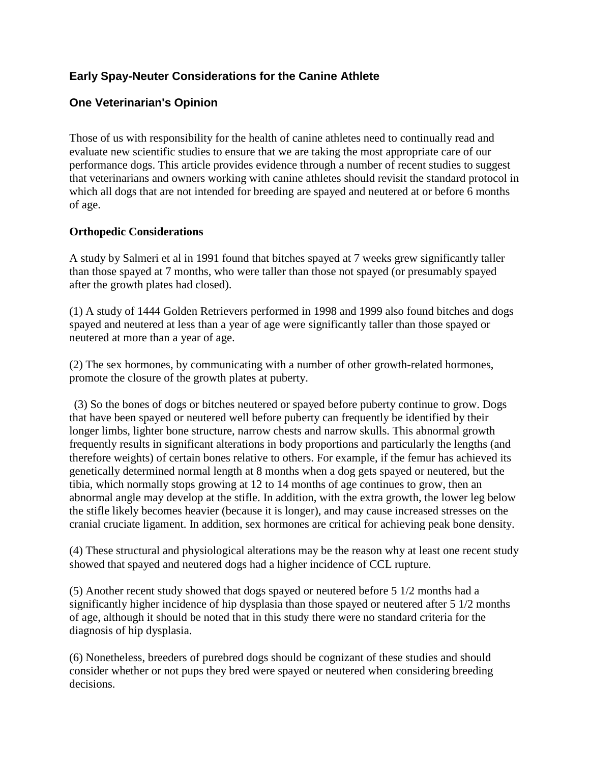# **Early Spay-Neuter Considerations for the Canine Athlete**

# **One Veterinarian's Opinion**

Those of us with responsibility for the health of canine athletes need to continually read and evaluate new scientific studies to ensure that we are taking the most appropriate care of our performance dogs. This article provides evidence through a number of recent studies to suggest that veterinarians and owners working with canine athletes should revisit the standard protocol in which all dogs that are not intended for breeding are spayed and neutered at or before 6 months of age.

#### **Orthopedic Considerations**

A study by Salmeri et al in 1991 found that bitches spayed at 7 weeks grew significantly taller than those spayed at 7 months, who were taller than those not spayed (or presumably spayed after the growth plates had closed).

(1) A study of 1444 Golden Retrievers performed in 1998 and 1999 also found bitches and dogs spayed and neutered at less than a year of age were significantly taller than those spayed or neutered at more than a year of age.

(2) The sex hormones, by communicating with a number of other growth-related hormones, promote the closure of the growth plates at puberty.

(3) So the bones of dogs or bitches neutered or spayed before puberty continue to grow. Dogs that have been spayed or neutered well before puberty can frequently be identified by their longer limbs, lighter bone structure, narrow chests and narrow skulls. This abnormal growth frequently results in significant alterations in body proportions and particularly the lengths (and therefore weights) of certain bones relative to others. For example, if the femur has achieved its genetically determined normal length at 8 months when a dog gets spayed or neutered, but the tibia, which normally stops growing at 12 to 14 months of age continues to grow, then an abnormal angle may develop at the stifle. In addition, with the extra growth, the lower leg below the stifle likely becomes heavier (because it is longer), and may cause increased stresses on the cranial cruciate ligament. In addition, sex hormones are critical for achieving peak bone density.

(4) These structural and physiological alterations may be the reason why at least one recent study showed that spayed and neutered dogs had a higher incidence of CCL rupture.

(5) Another recent study showed that dogs spayed or neutered before 5 1/2 months had a significantly higher incidence of hip dysplasia than those spayed or neutered after 5 1/2 months of age, although it should be noted that in this study there were no standard criteria for the diagnosis of hip dysplasia.

(6) Nonetheless, breeders of purebred dogs should be cognizant of these studies and should consider whether or not pups they bred were spayed or neutered when considering breeding decisions.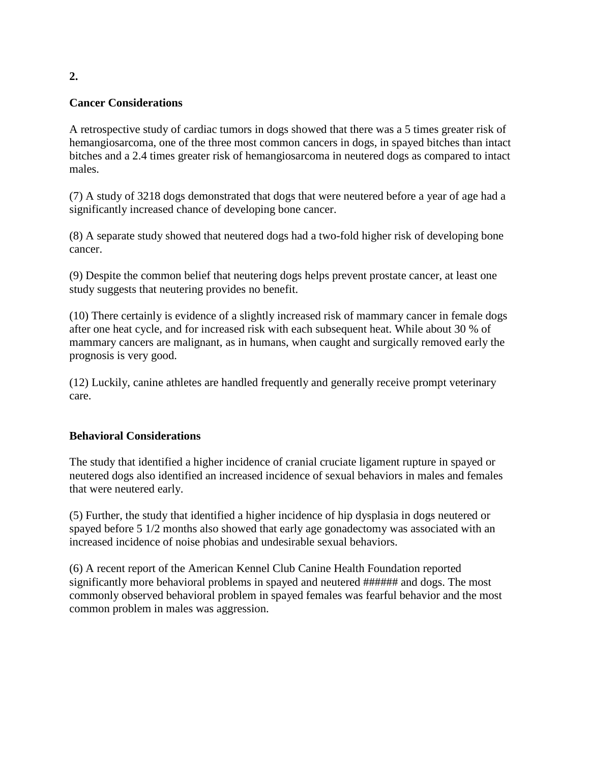## **Cancer Considerations**

A retrospective study of cardiac tumors in dogs showed that there was a 5 times greater risk of hemangiosarcoma, one of the three most common cancers in dogs, in spayed bitches than intact bitches and a 2.4 times greater risk of hemangiosarcoma in neutered dogs as compared to intact males.

(7) A study of 3218 dogs demonstrated that dogs that were neutered before a year of age had a significantly increased chance of developing bone cancer.

(8) A separate study showed that neutered dogs had a two-fold higher risk of developing bone cancer.

(9) Despite the common belief that neutering dogs helps prevent prostate cancer, at least one study suggests that neutering provides no benefit.

(10) There certainly is evidence of a slightly increased risk of mammary cancer in female dogs after one heat cycle, and for increased risk with each subsequent heat. While about 30 % of mammary cancers are malignant, as in humans, when caught and surgically removed early the prognosis is very good.

(12) Luckily, canine athletes are handled frequently and generally receive prompt veterinary care.

#### **Behavioral Considerations**

The study that identified a higher incidence of cranial cruciate ligament rupture in spayed or neutered dogs also identified an increased incidence of sexual behaviors in males and females that were neutered early.

(5) Further, the study that identified a higher incidence of hip dysplasia in dogs neutered or spayed before 5 1/2 months also showed that early age gonadectomy was associated with an increased incidence of noise phobias and undesirable sexual behaviors.

(6) A recent report of the American Kennel Club Canine Health Foundation reported significantly more behavioral problems in spayed and neutered ###### and dogs. The most commonly observed behavioral problem in spayed females was fearful behavior and the most common problem in males was aggression.

**2.**